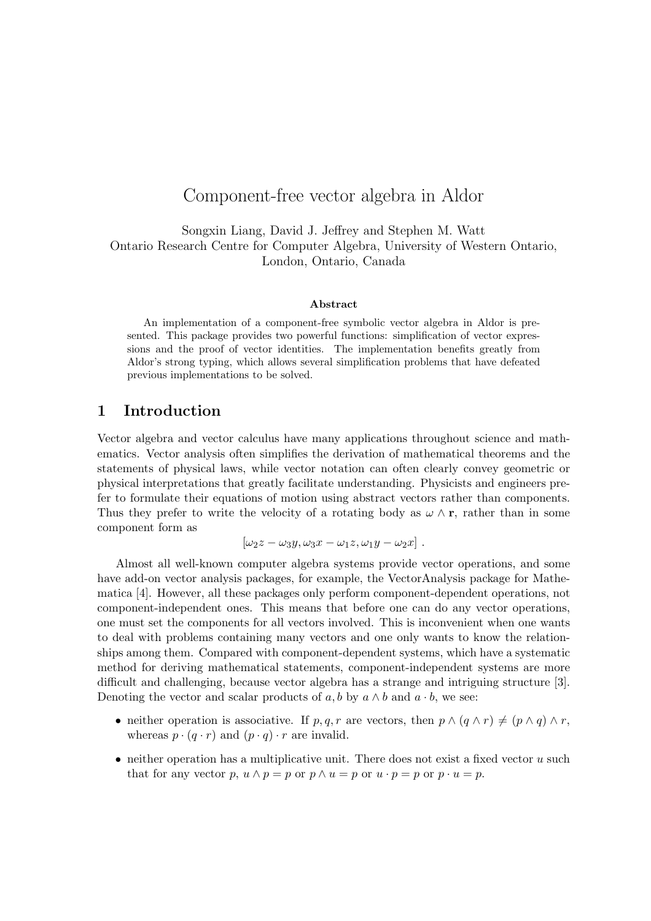# Component-free vector algebra in Aldor

Songxin Liang, David J. Jeffrey and Stephen M. Watt Ontario Research Centre for Computer Algebra, University of Western Ontario, London, Ontario, Canada

#### Abstract

An implementation of a component-free symbolic vector algebra in Aldor is presented. This package provides two powerful functions: simplification of vector expressions and the proof of vector identities. The implementation benefits greatly from Aldor's strong typing, which allows several simplification problems that have defeated previous implementations to be solved.

### 1 Introduction

Vector algebra and vector calculus have many applications throughout science and mathematics. Vector analysis often simplifies the derivation of mathematical theorems and the statements of physical laws, while vector notation can often clearly convey geometric or physical interpretations that greatly facilitate understanding. Physicists and engineers prefer to formulate their equations of motion using abstract vectors rather than components. Thus they prefer to write the velocity of a rotating body as  $\omega \wedge r$ , rather than in some component form as

$$
[\omega_2 z - \omega_3 y, \omega_3 x - \omega_1 z, \omega_1 y - \omega_2 x].
$$

Almost all well-known computer algebra systems provide vector operations, and some have add-on vector analysis packages, for example, the VectorAnalysis package for Mathematica [4]. However, all these packages only perform component-dependent operations, not component-independent ones. This means that before one can do any vector operations, one must set the components for all vectors involved. This is inconvenient when one wants to deal with problems containing many vectors and one only wants to know the relationships among them. Compared with component-dependent systems, which have a systematic method for deriving mathematical statements, component-independent systems are more difficult and challenging, because vector algebra has a strange and intriguing structure [3]. Denoting the vector and scalar products of  $a, b$  by  $a \wedge b$  and  $a \cdot b$ , we see:

- neither operation is associative. If  $p, q, r$  are vectors, then  $p \wedge (q \wedge r) \neq (p \wedge q) \wedge r$ , whereas  $p \cdot (q \cdot r)$  and  $(p \cdot q) \cdot r$  are invalid.
- neither operation has a multiplicative unit. There does not exist a fixed vector  $u$  such that for any vector p,  $u \wedge p = p$  or  $p \wedge u = p$  or  $u \cdot p = p$  or  $p \cdot u = p$ .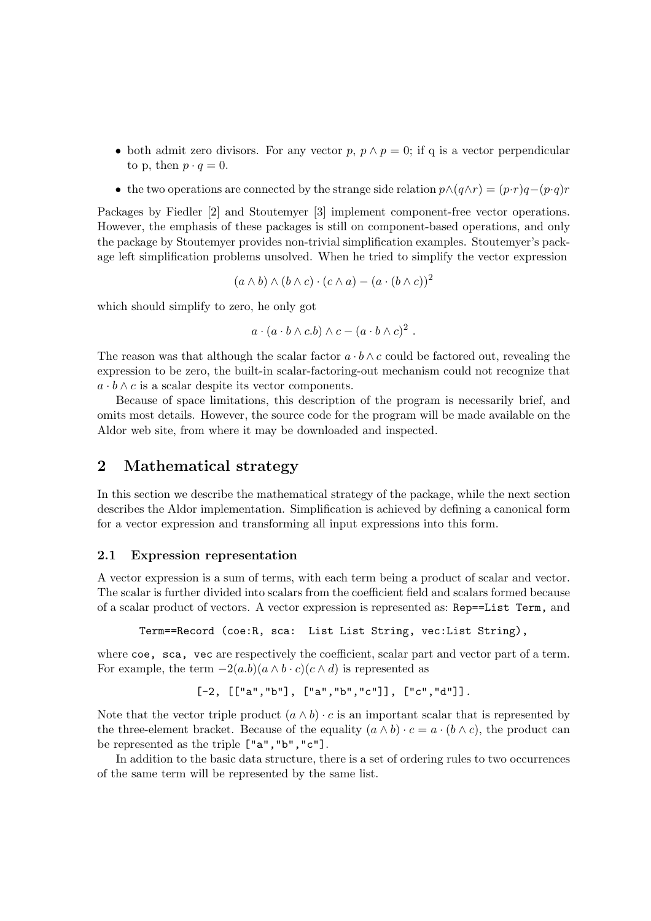- both admit zero divisors. For any vector p,  $p \wedge p = 0$ ; if q is a vector perpendicular to p, then  $p \cdot q = 0$ .
- the two operations are connected by the strange side relation  $p \wedge (q \wedge r) = (p \cdot r)q (p \cdot q)r$

Packages by Fiedler [2] and Stoutemyer [3] implement component-free vector operations. However, the emphasis of these packages is still on component-based operations, and only the package by Stoutemyer provides non-trivial simplification examples. Stoutemyer's package left simplification problems unsolved. When he tried to simplify the vector expression

$$
(a \wedge b) \wedge (b \wedge c) \cdot (c \wedge a) - (a \cdot (b \wedge c))^2
$$

which should simplify to zero, he only got

$$
a \cdot (a \cdot b \wedge c.b) \wedge c - (a \cdot b \wedge c)^2
$$
.

The reason was that although the scalar factor  $a \cdot b \wedge c$  could be factored out, revealing the expression to be zero, the built-in scalar-factoring-out mechanism could not recognize that  $a \cdot b \wedge c$  is a scalar despite its vector components.

Because of space limitations, this description of the program is necessarily brief, and omits most details. However, the source code for the program will be made available on the Aldor web site, from where it may be downloaded and inspected.

### 2 Mathematical strategy

In this section we describe the mathematical strategy of the package, while the next section describes the Aldor implementation. Simplification is achieved by defining a canonical form for a vector expression and transforming all input expressions into this form.

#### 2.1 Expression representation

A vector expression is a sum of terms, with each term being a product of scalar and vector. The scalar is further divided into scalars from the coefficient field and scalars formed because of a scalar product of vectors. A vector expression is represented as: Rep==List Term, and

Term==Record (coe:R, sca: List List String, vec:List String),

where coe, sca, vec are respectively the coefficient, scalar part and vector part of a term. For example, the term  $-2(a.b)(a \wedge b \cdot c)(c \wedge d)$  is represented as

$$
[-2, [[''a", "b"], ["a", "b", "c"]], [''c", "d"]].
$$

Note that the vector triple product  $(a \wedge b) \cdot c$  is an important scalar that is represented by the three-element bracket. Because of the equality  $(a \wedge b) \cdot c = a \cdot (b \wedge c)$ , the product can be represented as the triple ["a","b","c"].

In addition to the basic data structure, there is a set of ordering rules to two occurrences of the same term will be represented by the same list.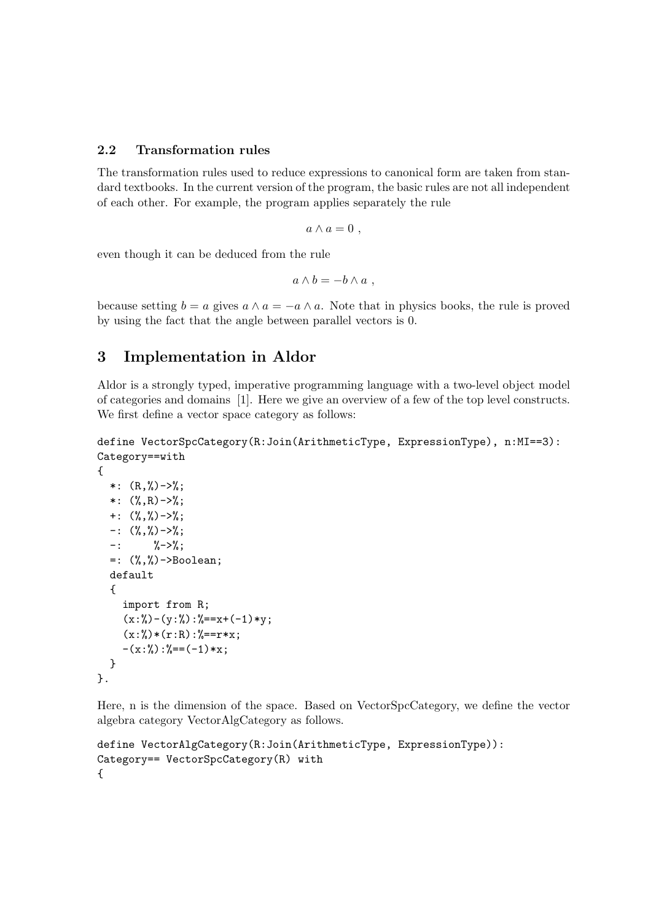### 2.2 Transformation rules

The transformation rules used to reduce expressions to canonical form are taken from standard textbooks. In the current version of the program, the basic rules are not all independent of each other. For example, the program applies separately the rule

$$
a \wedge a = 0 \ ,
$$

even though it can be deduced from the rule

$$
a \wedge b = -b \wedge a ,
$$

because setting  $b = a$  gives  $a \wedge a = -a \wedge a$ . Note that in physics books, the rule is proved by using the fact that the angle between parallel vectors is 0.

## 3 Implementation in Aldor

Aldor is a strongly typed, imperative programming language with a two-level object model of categories and domains [1]. Here we give an overview of a few of the top level constructs. We first define a vector space category as follows:

```
define VectorSpcCategory(R:Join(ArithmeticType, ExpressionType), n:MI==3):
Category==with
```

```
{
  *: (R, %) ->%;
  *: (\%, R)->%;
  +: (\frac{9}{6}, \frac{9}{6}) ->%;
  -: (\%, \%) ->%;
  -: %->%;
  =: (%,%)->Boolean;
  default
  {
     import from R;
     (x:\%) - (y:\%) : \%= = x + (-1) * y;(x:\%)*(r:R):\%==r*x;-(x:\%): %==(-1)*x;
  }
}.
```
Here, n is the dimension of the space. Based on VectorSpcCategory, we define the vector algebra category VectorAlgCategory as follows.

```
define VectorAlgCategory(R:Join(ArithmeticType, ExpressionType)):
Category== VectorSpcCategory(R) with
{
```